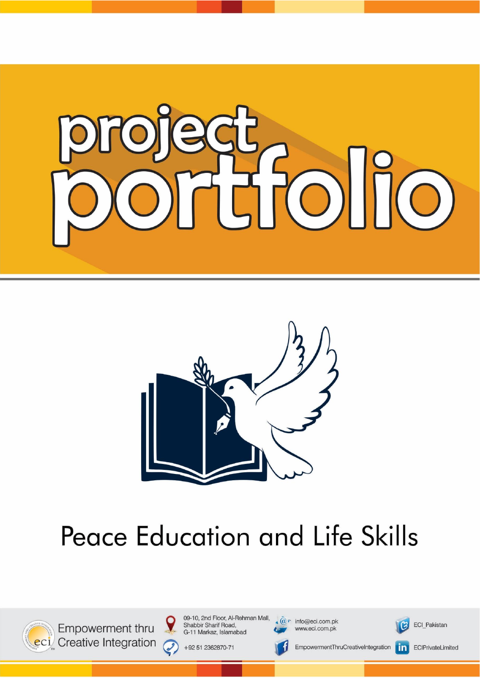



# **Peace Education and Life Skills**



Empowerment thru eci Creative Integration 09-10, 2nd Floor, Al-Rehman Mall, Shabbir Sharif Road, G-11 Markaz, Islamabad

+92 51 2362870-71

 $\omega$ 

 $\mathbf{A} \mathbf{Q}$  info@eci.com.pk www.eci.com.pk



**ECI Pakistan** 

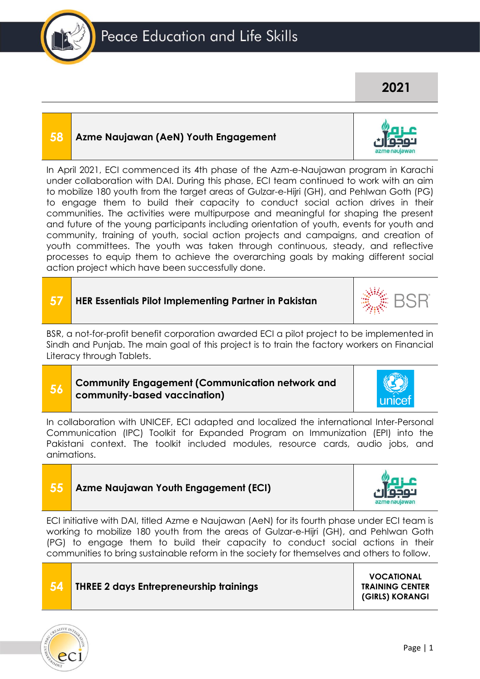# **58 Azme Naujawan (AeN) Youth Engagement**

In April 2021, ECI commenced its 4th phase of the Azm-e-Naujawan program in Karachi under collaboration with DAI. During this phase, ECI team continued to work with an aim to mobilize 180 youth from the target areas of Gulzar-e-Hijri (GH), and Pehlwan Goth (PG) to engage them to build their capacity to conduct social action drives in their communities. The activities were multipurpose and meaningful for shaping the present and future of the young participants including orientation of youth, events for youth and community, training of youth, social action projects and campaigns, and creation of youth committees. The youth was taken through continuous, steady, and reflective processes to equip them to achieve the overarching goals by making different social action project which have been successfully done.

### **57 HER Essentials Pilot Implementing Partner in Pakistan**

BSR, a not-for-profit benefit corporation awarded ECI a pilot project to be implemented in Sindh and Punjab. The main goal of this project is to train the factory workers on Financial Literacy through Tablets.

#### **56 Community Engagement (Communication network and community-based vaccination)**

In collaboration with UNICEF, ECI adapted and localized the international Inter-Personal Communication (IPC) Toolkit for Expanded Program on Immunization (EPI) into the Pakistani context. The toolkit included modules, resource cards, audio jobs, and animations.





**55 Azme Naujawan Youth Engagement (ECI)**

#### **VOCATIONAL TRAINING CENTER (GIRLS) KORANGI**





**2021**

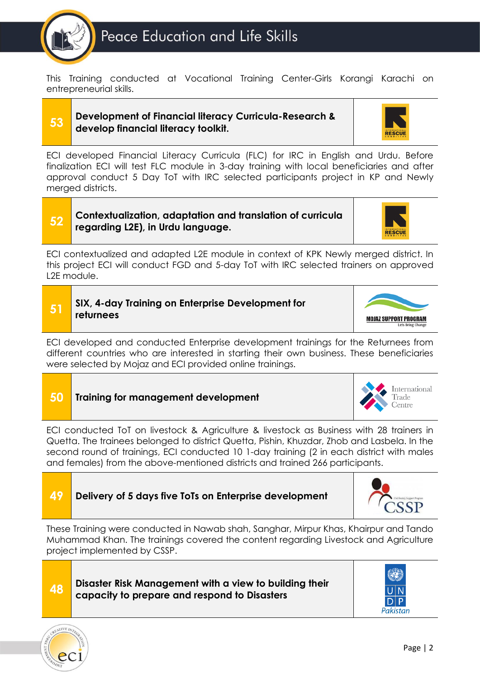

This Training conducted at Vocational Training Center-Girls Korangi Karachi on entrepreneurial skills.

#### **53 Development of Financial literacy Curricula-Research & develop financial literacy toolkit.**



ECI developed Financial Literacy Curricula (FLC) for IRC in English and Urdu. Before finalization ECI will test FLC module in 3-day training with local beneficiaries and after approval conduct 5 Day ToT with IRC selected participants project in KP and Newly merged districts.

#### **52 Contextualization, adaptation and translation of curricula regarding L2E), in Urdu language.**



ECI contextualized and adapted L2E module in context of KPK Newly merged district. In this project ECI will conduct FGD and 5-day ToT with IRC selected trainers on approved L2E module.

# **51 SIX, 4-day Training on Enterprise Development for returnees**



ECI developed and conducted Enterprise development trainings for the Returnees from different countries who are interested in starting their own business. These beneficiaries were selected by Mojaz and ECI provided online trainings.

#### International **50 Training for management development** Trade Centre

ECI conducted ToT on livestock & Agriculture & livestock as Business with 28 trainers in Quetta. The trainees belonged to district Quetta, Pishin, Khuzdar, Zhob and Lasbela. In the second round of trainings, ECI conducted 10 1-day training (2 in each district with males and females) from the above-mentioned districts and trained 266 participants.



These Training were conducted in Nawab shah, Sanghar, Mirpur Khas, Khairpur and Tando Muhammad Khan. The trainings covered the content regarding Livestock and Agriculture project implemented by CSSP.





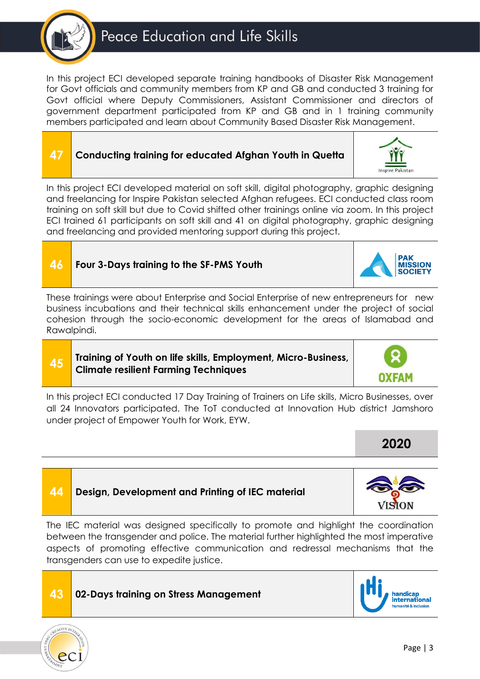In this project ECI developed separate training handbooks of Disaster Risk Management for Govt officials and community members from KP and GB and conducted 3 training for Govt official where Deputy Commissioners, Assistant Commissioner and directors of government department participated from KP and GB and in 1 training community members participated and learn about Community Based Disaster Risk Management.



In this project ECI developed material on soft skill, digital photography, graphic designing and freelancing for Inspire Pakistan selected Afghan refugees. ECI conducted class room training on soft skill but due to Covid shifted other trainings online via zoom. In this project ECI trained 61 participants on soft skill and 41 on digital photography, graphic designing and freelancing and provided mentoring support during this project.

**46 Four 3-Days training to the SF-PMS Youth**

These trainings were about Enterprise and Social Enterprise of new entrepreneurs for new business incubations and their technical skills enhancement under the project of social cohesion through the socio-economic development for the areas of Islamabad and Rawalpindi.

#### **45 Training of Youth on life skills, Employment, Micro-Business, Climate resilient Farming Techniques**

In this project ECI conducted 17 Day Training of Trainers on Life skills, Micro Businesses, over all 24 Innovators participated. The ToT conducted at Innovation Hub district Jamshoro under project of Empower Youth for Work, EYW.

**44 Design, Development and Printing of IEC material**

The IEC material was designed specifically to promote and highlight the coordination between the transgender and police. The material further highlighted the most imperative aspects of promoting effective communication and redressal mechanisms that the transgenders can use to expedite justice.







**MISSION** 

**2020**

ISION



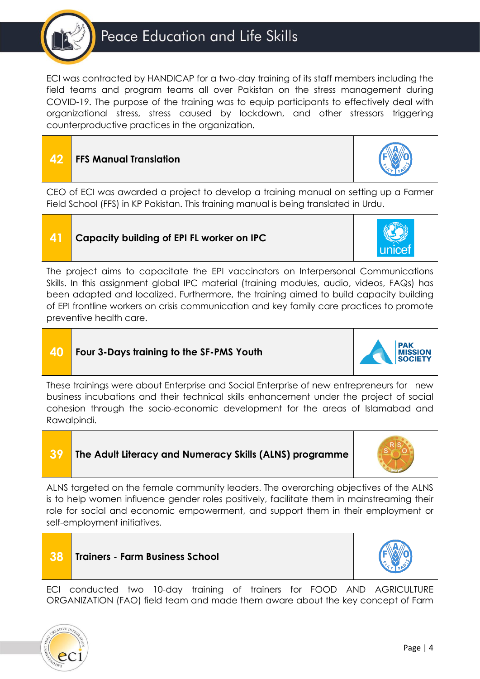# Peace Education and Life Skills

ECI was contracted by HANDICAP for a two-day training of its staff members including the field teams and program teams all over Pakistan on the stress management during COVID-19. The purpose of the training was to equip participants to effectively deal with organizational stress, stress caused by lockdown, and other stressors triggering counterproductive practices in the organization.

# **42 FFS Manual Translation**

CEO of ECI was awarded a project to develop a training manual on setting up a Farmer Field School (FFS) in KP Pakistan. This training manual is being translated in Urdu.

# **41 Capacity building of EPI FL worker on IPC**

The project aims to capacitate the EPI vaccinators on Interpersonal Communications Skills. In this assignment global IPC material (training modules, audio, videos, FAQs) has been adapted and localized. Furthermore, the training aimed to build capacity building of EPI frontline workers on crisis communication and key family care practices to promote preventive health care.

# **40 Four 3-Days training to the SF-PMS Youth**

**38 Trainers - Farm Business School**

These trainings were about Enterprise and Social Enterprise of new entrepreneurs for new business incubations and their technical skills enhancement under the project of social cohesion through the socio-economic development for the areas of Islamabad and Rawalpindi.

### **39 The Adult Literacy and Numeracy Skills (ALNS) programme**

ALNS targeted on the female community leaders. The overarching objectives of the ALNS is to help women influence gender roles positively, facilitate them in mainstreaming their role for social and economic empowerment, and support them in their employment or self-employment initiatives.













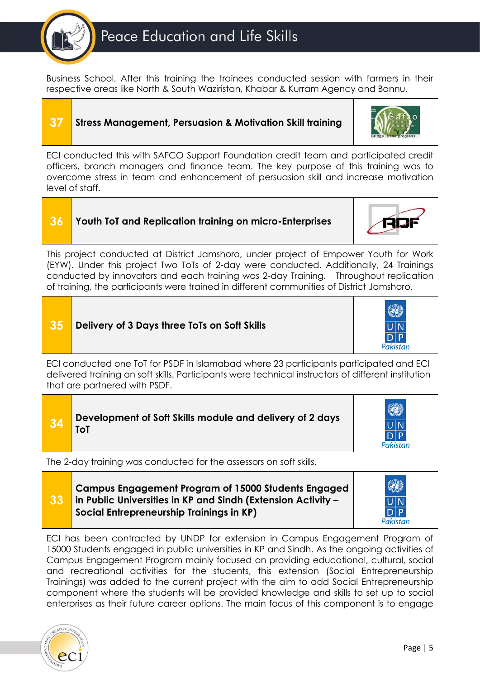

Business School. After this training the trainees conducted session with farmers in their respective areas like North & South Waziristan, Khabar & Kurram Agency and Bannu.

# **37 Stress Management, Persuasion & Motivation Skill training**



ECI conducted this with SAFCO Support Foundation credit team and participated credit officers, branch managers and finance team. The key purpose of this training was to overcome stress in team and enhancement of persuasion skill and increase motivation level of staff.

# **36 Youth ToT and Replication training on micro-Enterprises**

This project conducted at District Jamshoro, under project of Empower Youth for Work (EYW). Under this project Two ToTs of 2-day were conducted. Additionally, 24 Trainings conducted by innovators and each training was 2-day Training. Throughout replication of training, the participants were trained in different communities of District Jamshoro.



ECI conducted one ToT for PSDF in Islamabad where 23 participants participated and ECI delivered training on soft skills. Participants were technical instructors of different institution that are partnered with PSDF.

| Development of Soft Skills module and delivery of 2 days<br> 34<br><b>ToT</b> | $D$ $P$<br>Pakistan |
|-------------------------------------------------------------------------------|---------------------|
|-------------------------------------------------------------------------------|---------------------|

The 2-day training was conducted for the assessors on soft skills.

**33 Campus Engagement Program of 15000 Students Engaged in Public Universities in KP and Sindh (Extension Activity – Social Entrepreneurship Trainings in KP)**



ECI has been contracted by UNDP for extension in Campus Engagement Program of 15000 Students engaged in public universities in KP and Sindh. As the ongoing activities of Campus Engagement Program mainly focused on providing educational, cultural, social and recreational activities for the students, this extension (Social Entrepreneurship Trainings) was added to the current project with the aim to add Social Entrepreneurship component where the students will be provided knowledge and skills to set up to social enterprises as their future career options. The main focus of this component is to engage

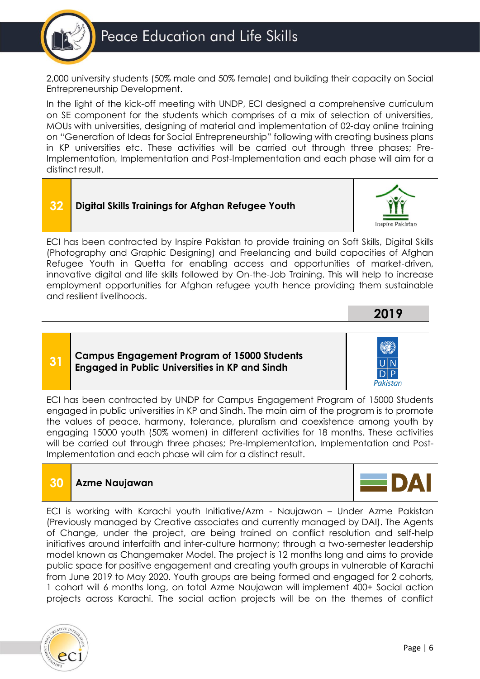

2,000 university students (50% male and 50% female) and building their capacity on Social Entrepreneurship Development.

In the light of the kick-off meeting with UNDP, ECI designed a comprehensive curriculum on SE component for the students which comprises of a mix of selection of universities, MOUs with universities, designing of material and implementation of 02-day online training on "Generation of Ideas for Social Entrepreneurship" following with creating business plans in KP universities etc. These activities will be carried out through three phases; Pre-Implementation, Implementation and Post-Implementation and each phase will aim for a distinct result.



ECI has been contracted by Inspire Pakistan to provide training on Soft Skills, Digital Skills (Photography and Graphic Designing) and Freelancing and build capacities of Afghan Refugee Youth in Quetta for enabling access and opportunities of market-driven, innovative digital and life skills followed by On-the-Job Training. This will help to increase employment opportunities for Afghan refugee youth hence providing them sustainable and resilient livelihoods.

### **31 Campus Engagement Program of 15000 Students Engaged in Public Universities in KP and Sindh**

Pakistan

**2019**

ECI has been contracted by UNDP for Campus Engagement Program of 15000 Students engaged in public universities in KP and Sindh. The main aim of the program is to promote the values of peace, harmony, tolerance, pluralism and coexistence among youth by engaging 15000 youth (50% women) in different activities for 18 months. These activities will be carried out through three phases; Pre-Implementation, Implementation and Post-Implementation and each phase will aim for a distinct result.

# **30 Azme Naujawan**

ECI is working with Karachi youth Initiative/Azm - Naujawan – Under Azme Pakistan (Previously managed by Creative associates and currently managed by DAI). The Agents of Change, under the project, are being trained on conflict resolution and self-help initiatives around interfaith and inter-culture harmony; through a two-semester leadership model known as Changemaker Model. The project is 12 months long and aims to provide public space for positive engagement and creating youth groups in vulnerable of Karachi from June 2019 to May 2020. Youth groups are being formed and engaged for 2 cohorts, 1 cohort will 6 months long, on total Azme Naujawan will implement 400+ Social action projects across Karachi. The social action projects will be on the themes of conflict

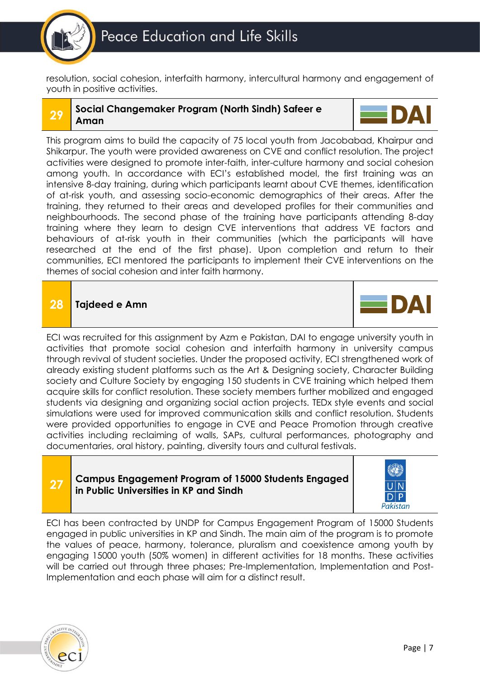

resolution, social cohesion, interfaith harmony, intercultural harmony and engagement of youth in positive activities.

#### **29 Social Changemaker Program (North Sindh) Safeer e Aman**



This program aims to build the capacity of 75 local youth from Jacobabad, Khairpur and Shikarpur. The youth were provided awareness on CVE and conflict resolution. The project activities were designed to promote inter-faith, inter-culture harmony and social cohesion among youth. In accordance with ECI's established model, the first training was an intensive 8-day training, during which participants learnt about CVE themes, identification of at-risk youth, and assessing socio-economic demographics of their areas. After the training, they returned to their areas and developed profiles for their communities and neighbourhoods. The second phase of the training have participants attending 8-day training where they learn to design CVE interventions that address VE factors and behaviours of at-risk youth in their communities (which the participants will have researched at the end of the first phase). Upon completion and return to their communities, ECI mentored the participants to implement their CVE interventions on the themes of social cohesion and inter faith harmony.

# **28 Tajdeed e Amn**



ECI was recruited for this assignment by Azm e Pakistan, DAI to engage university youth in activities that promote social cohesion and interfaith harmony in university campus through revival of student societies. Under the proposed activity, ECI strengthened work of already existing student platforms such as the Art & Designing society, Character Building society and Culture Society by engaging 150 students in CVE training which helped them acquire skills for conflict resolution. These society members further mobilized and engaged students via designing and organizing social action projects. TEDx style events and social simulations were used for improved communication skills and conflict resolution. Students were provided opportunities to engage in CVE and Peace Promotion through creative activities including reclaiming of walls, SAPs, cultural performances, photography and documentaries, oral history, painting, diversity tours and cultural festivals.

#### **27 Campus Engagement Program of 15000 Students Engaged in Public Universities in KP and Sindh**



ECI has been contracted by UNDP for Campus Engagement Program of 15000 Students engaged in public universities in KP and Sindh. The main aim of the program is to promote the values of peace, harmony, tolerance, pluralism and coexistence among youth by engaging 15000 youth (50% women) in different activities for 18 months. These activities will be carried out through three phases; Pre-Implementation, Implementation and Post-Implementation and each phase will aim for a distinct result.

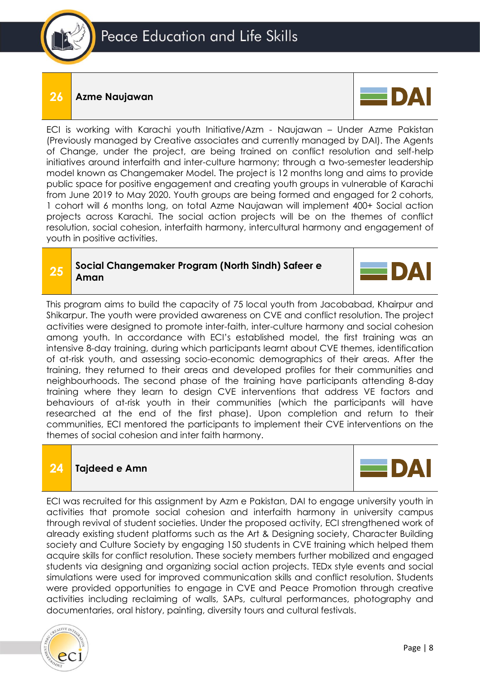

### **26 Azme Naujawan**



ECI is working with Karachi youth Initiative/Azm - Naujawan – Under Azme Pakistan (Previously managed by Creative associates and currently managed by DAI). The Agents of Change, under the project, are being trained on conflict resolution and self-help initiatives around interfaith and inter-culture harmony; through a two-semester leadership model known as Changemaker Model. The project is 12 months long and aims to provide public space for positive engagement and creating youth groups in vulnerable of Karachi from June 2019 to May 2020. Youth groups are being formed and engaged for 2 cohorts, 1 cohort will 6 months long, on total Azme Naujawan will implement 400+ Social action projects across Karachi. The social action projects will be on the themes of conflict resolution, social cohesion, interfaith harmony, intercultural harmony and engagement of youth in positive activities.

#### **25 Social Changemaker Program (North Sindh) Safeer e Aman**



This program aims to build the capacity of 75 local youth from Jacobabad, Khairpur and Shikarpur. The youth were provided awareness on CVE and conflict resolution. The project activities were designed to promote inter-faith, inter-culture harmony and social cohesion among youth. In accordance with ECI's established model, the first training was an intensive 8-day training, during which participants learnt about CVE themes, identification of at-risk youth, and assessing socio-economic demographics of their areas. After the training, they returned to their areas and developed profiles for their communities and neighbourhoods. The second phase of the training have participants attending 8-day training where they learn to design CVE interventions that address VE factors and behaviours of at-risk youth in their communities (which the participants will have researched at the end of the first phase). Upon completion and return to their communities, ECI mentored the participants to implement their CVE interventions on the themes of social cohesion and inter faith harmony.

# **24 Tajdeed e Amn**



ECI was recruited for this assignment by Azm e Pakistan, DAI to engage university youth in activities that promote social cohesion and interfaith harmony in university campus through revival of student societies. Under the proposed activity, ECI strengthened work of already existing student platforms such as the Art & Designing society, Character Building society and Culture Society by engaging 150 students in CVE training which helped them acquire skills for conflict resolution. These society members further mobilized and engaged students via designing and organizing social action projects. TEDx style events and social simulations were used for improved communication skills and conflict resolution. Students were provided opportunities to engage in CVE and Peace Promotion through creative activities including reclaiming of walls, SAPs, cultural performances, photography and documentaries, oral history, painting, diversity tours and cultural festivals.

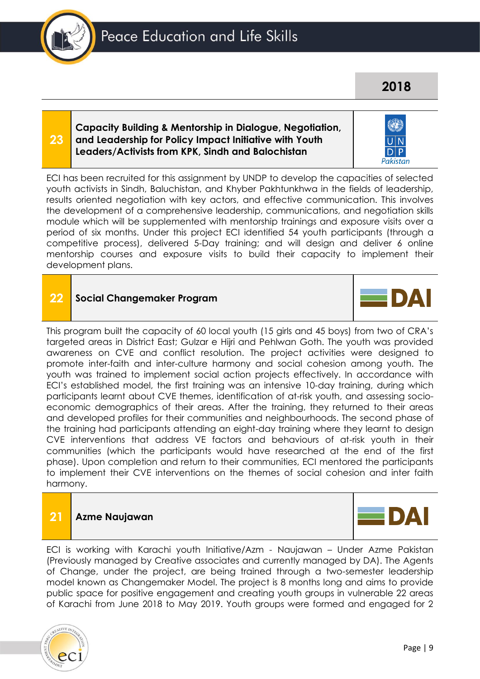Pakistan

### **Capacity Building & Mentorship in Dialogue, Negotiation, and Leadership for Policy Impact Initiative with Youth Leaders/Activists from KPK, Sindh and Balochistan**

ECI has been recruited for this assignment by UNDP to develop the capacities of selected youth activists in Sindh, Baluchistan, and Khyber Pakhtunkhwa in the fields of leadership, results oriented negotiation with key actors, and effective communication. This involves the development of a comprehensive leadership, communications, and negotiation skills module which will be supplemented with mentorship trainings and exposure visits over a period of six months. Under this project ECI identified 54 youth participants (through a competitive process), delivered 5-Day training; and will design and deliver 6 online mentorship courses and exposure visits to build their capacity to implement their development plans.

# **22 Social Changemaker Program**

This program built the capacity of 60 local youth (15 girls and 45 boys) from two of CRA's targeted areas in District East; Gulzar e Hijri and Pehlwan Goth. The youth was provided awareness on CVE and conflict resolution. The project activities were designed to promote inter-faith and inter-culture harmony and social cohesion among youth. The youth was trained to implement social action projects effectively. In accordance with ECI's established model, the first training was an intensive 10-day training, during which participants learnt about CVE themes, identification of at-risk youth, and assessing socioeconomic demographics of their areas. After the training, they returned to their areas and developed profiles for their communities and neighbourhoods. The second phase of the training had participants attending an eight-day training where they learnt to design CVE interventions that address VE factors and behaviours of at-risk youth in their communities (which the participants would have researched at the end of the first phase). Upon completion and return to their communities, ECI mentored the participants to implement their CVE interventions on the themes of social cohesion and inter faith harmony.

# **21 Azme Naujawan**

ECI is working with Karachi youth Initiative/Azm - Naujawan – Under Azme Pakistan (Previously managed by Creative associates and currently managed by DA). The Agents of Change, under the project, are being trained through a two-semester leadership model known as Changemaker Model. The project is 8 months long and aims to provide public space for positive engagement and creating youth groups in vulnerable 22 areas of Karachi from June 2018 to May 2019. Youth groups were formed and engaged for 2









**23**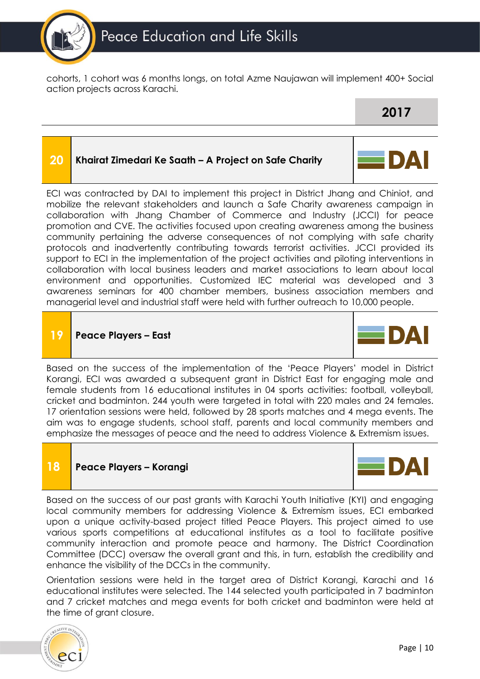

cohorts, 1 cohort was 6 months longs, on total Azme Naujawan will implement 400+ Social action projects across Karachi.

#### **20 Khairat Zimedari Ke Saath – A Project on Safe Charity**



ECI was contracted by DAI to implement this project in District Jhang and Chiniot, and mobilize the relevant stakeholders and launch a Safe Charity awareness campaign in collaboration with Jhang Chamber of Commerce and Industry (JCCI) for peace promotion and CVE. The activities focused upon creating awareness among the business community pertaining the adverse consequences of not complying with safe charity protocols and inadvertently contributing towards terrorist activities. JCCI provided its support to ECI in the implementation of the project activities and piloting interventions in collaboration with local business leaders and market associations to learn about local environment and opportunities. Customized IEC material was developed and 3 awareness seminars for 400 chamber members, business association members and managerial level and industrial staff were held with further outreach to 10,000 people.

# **19 Peace Players – East**



Based on the success of the implementation of the 'Peace Players' model in District Korangi, ECI was awarded a subsequent grant in District East for engaging male and female students from 16 educational institutes in 04 sports activities: football, volleyball, cricket and badminton. 244 youth were targeted in total with 220 males and 24 females. 17 orientation sessions were held, followed by 28 sports matches and 4 mega events. The aim was to engage students, school staff, parents and local community members and emphasize the messages of peace and the need to address Violence & Extremism issues.

# **18 Peace Players – Korangi**



Based on the success of our past grants with Karachi Youth Initiative (KYI) and engaging local community members for addressing Violence & Extremism issues, ECI embarked upon a unique activity-based project titled Peace Players. This project aimed to use various sports competitions at educational institutes as a tool to facilitate positive community interaction and promote peace and harmony. The District Coordination Committee (DCC) oversaw the overall grant and this, in turn, establish the credibility and enhance the visibility of the DCCs in the community.

Orientation sessions were held in the target area of District Korangi, Karachi and 16 educational institutes were selected. The 144 selected youth participated in 7 badminton and 7 cricket matches and mega events for both cricket and badminton were held at the time of grant closure.

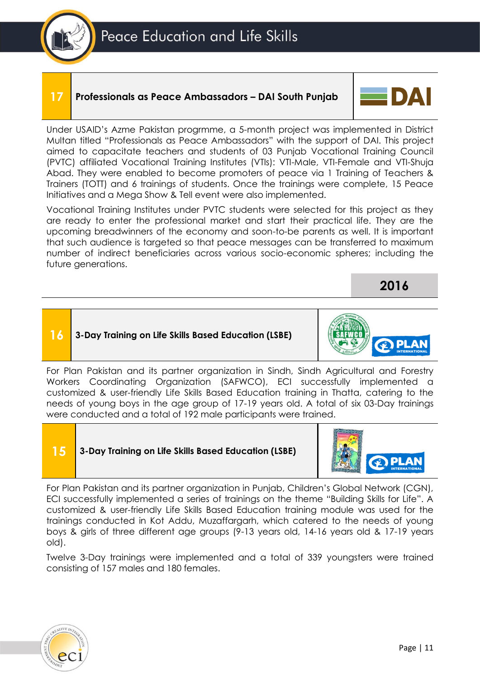# **17 Professionals as Peace Ambassadors – DAI South Punjab**



**2016**

Under USAID's Azme Pakistan progrmme, a 5-month project was implemented in District Multan titled "Professionals as Peace Ambassadors" with the support of DAI. This project aimed to capacitate teachers and students of 03 Punjab Vocational Training Council (PVTC) affiliated Vocational Training Institutes (VTIs): VTI-Male, VTI-Female and VTI-Shuja Abad. They were enabled to become promoters of peace via 1 Training of Teachers & Trainers (TOTT) and 6 trainings of students. Once the trainings were complete, 15 Peace Initiatives and a Mega Show & Tell event were also implemented.

Vocational Training Institutes under PVTC students were selected for this project as they are ready to enter the professional market and start their practical life. They are the upcoming breadwinners of the economy and soon-to-be parents as well. It is important that such audience is targeted so that peace messages can be transferred to maximum number of indirect beneficiaries across various socio-economic spheres; including the future generations.

# **16 3-Day Training on Life Skills Based Education (LSBE)**



**15 3-Day Training on Life Skills Based Education (LSBE)**



For Plan Pakistan and its partner organization in Punjab, Children's Global Network (CGN), ECI successfully implemented a series of trainings on the theme "Building Skills for Life". A customized & user-friendly Life Skills Based Education training module was used for the trainings conducted in Kot Addu, Muzaffargarh, which catered to the needs of young boys & girls of three different age groups (9-13 years old, 14-16 years old & 17-19 years old).

Twelve 3-Day trainings were implemented and a total of 339 youngsters were trained consisting of 157 males and 180 females.

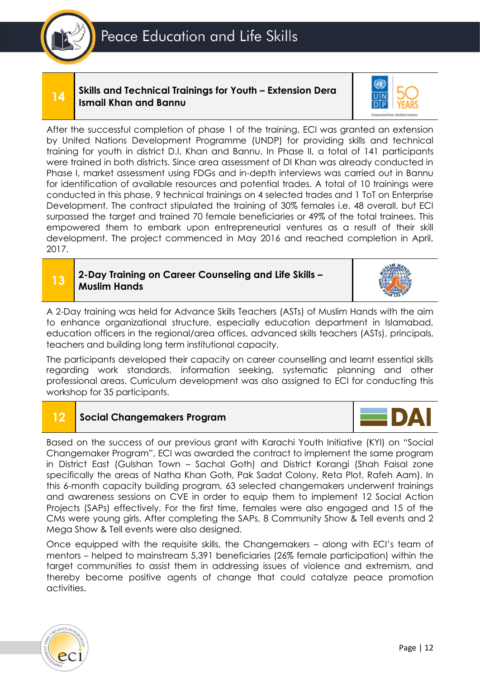#### **14 Skills and Technical Trainings for Youth – Extension Dera Ismail Khan and Bannu**



After the successful completion of phase 1 of the training, ECI was granted an extension by United Nations Development Programme (UNDP) for providing skills and technical training for youth in district D.I. Khan and Bannu. In Phase II, a total of 141 participants were trained in both districts. Since area assessment of DI Khan was already conducted in Phase I, market assessment using FDGs and in-depth interviews was carried out in Bannu for identification of available resources and potential trades. A total of 10 trainings were conducted in this phase, 9 technical trainings on 4 selected trades and 1 ToT on Enterprise Development. The contract stipulated the training of 30% females i.e. 48 overall, but ECI surpassed the target and trained 70 female beneficiaries or 49% of the total trainees. This empowered them to embark upon entrepreneurial ventures as a result of their skill development. The project commenced in May 2016 and reached completion in April, 2017.

### **13 2-Day Training on Career Counseling and Life Skills – Muslim Hands**



A 2-Day training was held for Advance Skills Teachers (ASTs) of Muslim Hands with the aim to enhance organizational structure, especially education department in Islamabad, education officers in the regional/area offices, advanced skills teachers (ASTs), principals, teachers and building long term institutional capacity.

The participants developed their capacity on career counselling and learnt essential skills regarding work standards, information seeking, systematic planning and other professional areas. Curriculum development was also assigned to ECI for conducting this workshop for 35 participants.

# **12 Social Changemakers Program**

Based on the success of our previous grant with Karachi Youth Initiative (KYI) on "Social Changemaker Program", ECI was awarded the contract to implement the same program in District East (Gulshan Town – Sachal Goth) and District Korangi (Shah Faisal zone specifically the areas of Natha Khan Goth, Pak Sadat Colony, Reta Plot, Rafeh Aam). In this 6-month capacity building program, 63 selected changemakers underwent trainings and awareness sessions on CVE in order to equip them to implement 12 Social Action Projects (SAPs) effectively. For the first time, females were also engaged and 15 of the CMs were young girls. After completing the SAPs, 8 Community Show & Tell events and 2 Mega Show & Tell events were also designed.

Once equipped with the requisite skills, the Changemakers – along with ECI's team of mentors – helped to mainstream 5,391 beneficiaries (26% female participation) within the target communities to assist them in addressing issues of violence and extremism, and thereby become positive agents of change that could catalyze peace promotion activities.

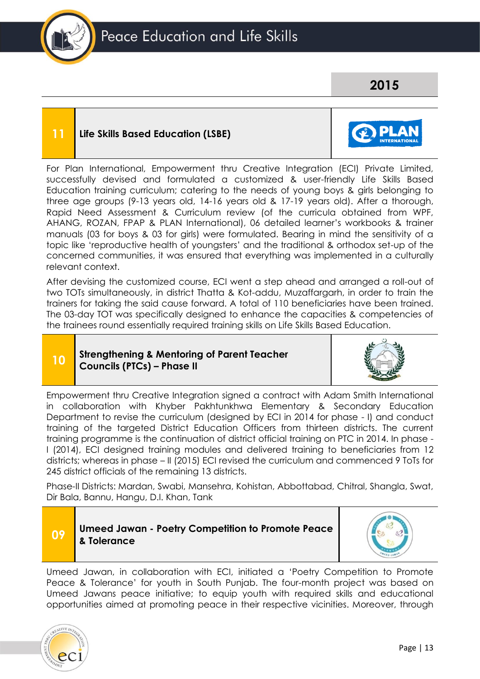

# **2015**

## **11 Life Skills Based Education (LSBE)**



For Plan International, Empowerment thru Creative Integration (ECI) Private Limited, successfully devised and formulated a customized & user-friendly Life Skills Based Education training curriculum; catering to the needs of young boys & girls belonging to three age groups (9-13 years old, 14-16 years old & 17-19 years old). After a thorough, Rapid Need Assessment & Curriculum review (of the curricula obtained from WPF, AHANG, ROZAN, FPAP & PLAN International), 06 detailed learner's workbooks & trainer manuals (03 for boys & 03 for girls) were formulated. Bearing in mind the sensitivity of a topic like 'reproductive health of youngsters' and the traditional & orthodox set-up of the concerned communities, it was ensured that everything was implemented in a culturally relevant context.

After devising the customized course, ECI went a step ahead and arranged a roll-out of two TOTs simultaneously, in district Thatta & Kot-addu, Muzaffargarh, in order to train the trainers for taking the said cause forward. A total of 110 beneficiaries have been trained. The 03-day TOT was specifically designed to enhance the capacities & competencies of the trainees round essentially required training skills on Life Skills Based Education.

#### **10 Strengthening & Mentoring of Parent Teacher Councils (PTCs) – Phase II**



Empowerment thru Creative Integration signed a contract with Adam Smith International in collaboration with Khyber Pakhtunkhwa Elementary & Secondary Education Department to revise the curriculum (designed by ECI in 2014 for phase - I) and conduct training of the targeted District Education Officers from thirteen districts. The current training programme is the continuation of district official training on PTC in 2014. In phase - I (2014), ECI designed training modules and delivered training to beneficiaries from 12 districts; whereas in phase – II (2015) ECI revised the curriculum and commenced 9 ToTs for 245 district officials of the remaining 13 districts.

Phase-II Districts: Mardan, Swabi, Mansehra, Kohistan, Abbottabad, Chitral, Shangla, Swat, Dir Bala, Bannu, Hangu, D.I. Khan, Tank



Umeed Jawan, in collaboration with ECI, initiated a 'Poetry Competition to Promote Peace & Tolerance' for youth in South Punjab. The four-month project was based on Umeed Jawans peace initiative; to equip youth with required skills and educational opportunities aimed at promoting peace in their respective vicinities. Moreover, through

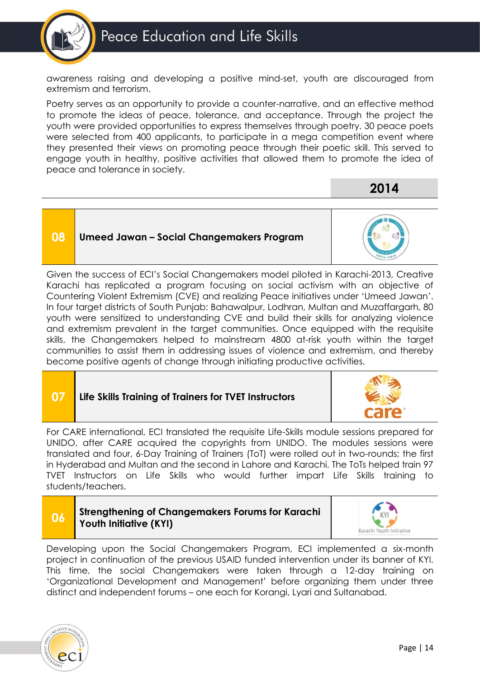

awareness raising and developing a positive mind-set, youth are discouraged from extremism and terrorism.

Poetry serves as an opportunity to provide a counter-narrative, and an effective method to promote the ideas of peace, tolerance, and acceptance. Through the project the youth were provided opportunities to express themselves through poetry. 30 peace poets were selected from 400 applicants, to participate in a mega competition event where they presented their views on promoting peace through their poetic skill. This served to engage youth in healthy, positive activities that allowed them to promote the idea of peace and tolerance in society.

**2014**

**08 Umeed Jawan – Social Changemakers Program** 



Given the success of ECI's Social Changemakers model piloted in Karachi-2013, Creative Karachi has replicated a program focusing on social activism with an objective of Countering Violent Extremism (CVE) and realizing Peace initiatives under 'Umeed Jawan'. In four target districts of South Punjab: Bahawalpur, Lodhran, Multan and Muzaffargarh, 80 youth were sensitized to understanding CVE and build their skills for analyzing violence and extremism prevalent in the target communities. Once equipped with the requisite skills, the Changemakers helped to mainstream 4800 at-risk youth within the target communities to assist them in addressing issues of violence and extremism, and thereby become positive agents of change through initiating productive activities.

# **07 Life Skills Training of Trainers for TVET Instructors**



For CARE international, ECI translated the requisite Life-Skills module sessions prepared for UNIDO, after CARE acquired the copyrights from UNIDO. The modules sessions were translated and four, 6-Day Training of Trainers (ToT) were rolled out in two-rounds; the first in Hyderabad and Multan and the second in Lahore and Karachi. The ToTs helped train 97 TVET Instructors on Life Skills who would further impart Life Skills training to students/teachers.

# **06 Strengthening of Changemakers Forums for Karachi Youth Initiative (KYI)**



Developing upon the Social Changemakers Program, ECI implemented a six-month project in continuation of the previous USAID funded intervention under its banner of KYI. This time, the social Changemakers were taken through a 12-day training on 'Organizational Development and Management' before organizing them under three distinct and independent forums – one each for Korangi, Lyari and Sultanabad.

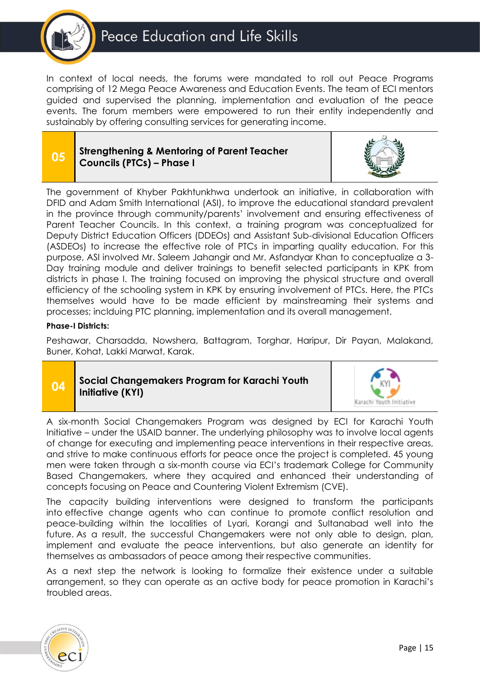

In context of local needs, the forums were mandated to roll out Peace Programs comprising of 12 Mega Peace Awareness and Education Events. The team of ECI mentors guided and supervised the planning, implementation and evaluation of the peace events. The forum members were empowered to run their entity independently and sustainably by offering consulting services for generating income.

### **05 Strengthening & Mentoring of Parent Teacher Councils (PTCs) – Phase I**



The government of Khyber Pakhtunkhwa undertook an initiative, in collaboration with DFID and Adam Smith International (ASI), to improve the educational standard prevalent in the province through community/parents' involvement and ensuring effectiveness of Parent Teacher Councils. In this context, a training program was conceptualized for Deputy District Education Officers (DDEOs) and Assistant Sub-divisional Education Officers (ASDEOs) to increase the effective role of PTCs in imparting quality education. For this purpose, ASI involved Mr. Saleem Jahangir and Mr. Asfandyar Khan to conceptualize a 3- Day training module and deliver trainings to benefit selected participants in KPK from districts in phase I. The training focused on improving the physical structure and overall efficiency of the schooling system in KPK by ensuring involvement of PTCs. Here, the PTCs themselves would have to be made efficient by mainstreaming their systems and processes; inclduing PTC planning, implementation and its overall management.

#### **Phase-I Districts:**

Peshawar, Charsadda, Nowshera, Battagram, Torghar, Haripur, Dir Payan, Malakand, Buner, Kohat, Lakki Marwat, Karak.

# **04 Social Changemakers Program for Karachi Youth Initiative (KYI)**



A six-month Social Changemakers Program was designed by ECI for Karachi Youth Initiative – under the USAID banner. The underlying philosophy was to involve local agents of change for executing and implementing peace interventions in their respective areas, and strive to make continuous efforts for peace once the project is completed. 45 young men were taken through a six-month course via ECI's trademark College for Community Based Changemakers, where they acquired and enhanced their understanding of concepts focusing on Peace and Countering Violent Extremism (CVE).

The capacity building interventions were designed to transform the participants into effective change agents who can continue to promote conflict resolution and peace-building within the localities of Lyari, Korangi and Sultanabad well into the future. As a result, the successful Changemakers were not only able to design, plan, implement and evaluate the peace interventions, but also generate an identity for themselves as ambassadors of peace among their respective communities.

As a next step the network is looking to formalize their existence under a suitable arrangement, so they can operate as an active body for peace promotion in Karachi's troubled areas.

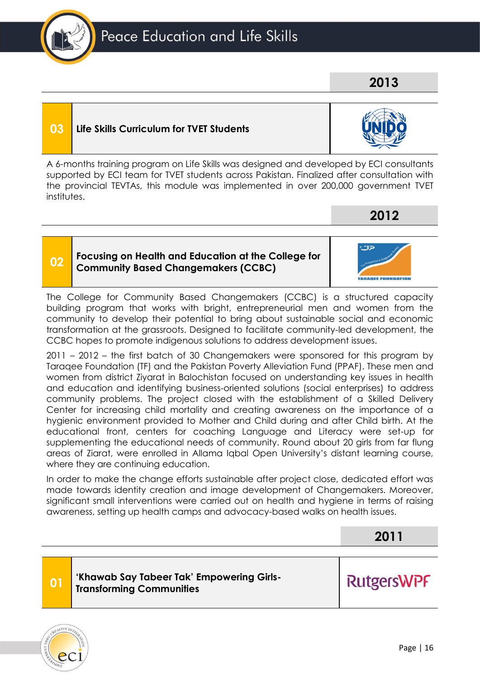# **03 Life Skills Curriculum for TVET Students**

A 6-months training program on Life Skills was designed and developed by ECI consultants supported by ECI team for TVET students across Pakistan. Finalized after consultation with the provincial TEVTAs, this module was implemented in over 200,000 government TVET institutes.

#### **02 Focusing on Health and Education at the College for Community Based Changemakers (CCBC)**

The College for Community Based Changemakers (CCBC) is a structured capacity building program that works with bright, entrepreneurial men and women from the community to develop their potential to bring about sustainable social and economic transformation at the grassroots. Designed to facilitate community-led development, the CCBC hopes to promote indigenous solutions to address development issues.

2011 – 2012 – the first batch of 30 Changemakers were sponsored for this program by Taraqee Foundation (TF) and the Pakistan Poverty Alleviation Fund (PPAF). These men and women from district Ziyarat in Balochistan focused on understanding key issues in health and education and identifying business-oriented solutions (social enterprises) to address community problems. The project closed with the establishment of a Skilled Delivery Center for increasing child mortality and creating awareness on the importance of a hygienic environment provided to Mother and Child during and after Child birth. At the educational front, centers for coaching Language and Literacy were set-up for supplementing the educational needs of community. Round about 20 girls from far flung areas of Ziarat, were enrolled in Allama Iqbal Open University's distant learning course, where they are continuing education.

In order to make the change efforts sustainable after project close, dedicated effort was made towards identity creation and image development of Changemakers. Moreover, significant small interventions were carried out on health and hygiene in terms of raising awareness, setting up health camps and advocacy-based walks on health issues.

# **2011**

**RutgersWPF**